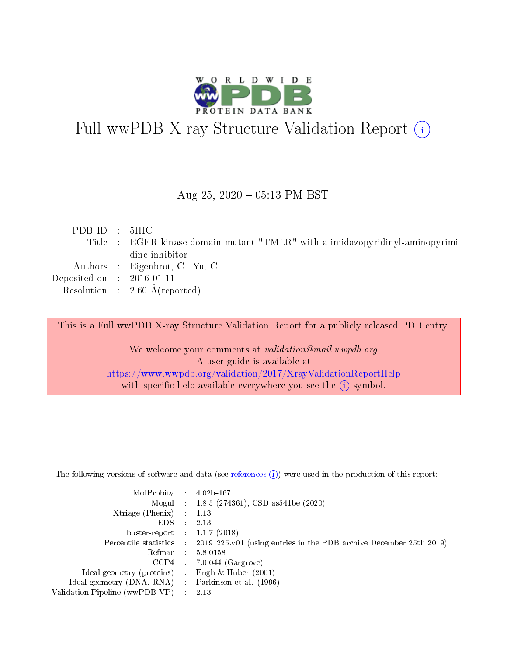

# Full wwPDB X-ray Structure Validation Report (i)

#### Aug 25,  $2020 - 05:13$  PM BST

| PDBID : 5HIC                |                                                                              |
|-----------------------------|------------------------------------------------------------------------------|
|                             | Title : EGFR kinase domain mutant "TMLR" with a imidazopyridinyl-aminopyrimi |
|                             | dine inhibitor                                                               |
|                             | Authors : Eigenbrot, C.; Yu, C.                                              |
| Deposited on : $2016-01-11$ |                                                                              |
|                             | Resolution : $2.60 \text{ Å}$ (reported)                                     |

This is a Full wwPDB X-ray Structure Validation Report for a publicly released PDB entry.

We welcome your comments at validation@mail.wwpdb.org A user guide is available at <https://www.wwpdb.org/validation/2017/XrayValidationReportHelp> with specific help available everywhere you see the  $(i)$  symbol.

The following versions of software and data (see [references](https://www.wwpdb.org/validation/2017/XrayValidationReportHelp#references)  $(1)$ ) were used in the production of this report:

| MolProbity                     | $4.02b-467$                                                            |
|--------------------------------|------------------------------------------------------------------------|
|                                | Mogul : 1.8.5 (274361), CSD as 541be (2020)                            |
| $X$ triage (Phenix) :          | 1.13                                                                   |
| EDS.                           | 2.13                                                                   |
| buster-report : $1.1.7$ (2018) |                                                                        |
| Percentile statistics :        | $20191225$ , v01 (using entries in the PDB archive December 25th 2019) |
| Refmac :                       | 5.8.0158                                                               |
| CCP4                           | $7.0.044$ (Gargrove)                                                   |
| Ideal geometry (proteins) :    | Engh $\&$ Huber (2001)                                                 |
| Ideal geometry (DNA, RNA) :    | Parkinson et al. (1996)                                                |
| Validation Pipeline (wwPDB-VP) | 2.13                                                                   |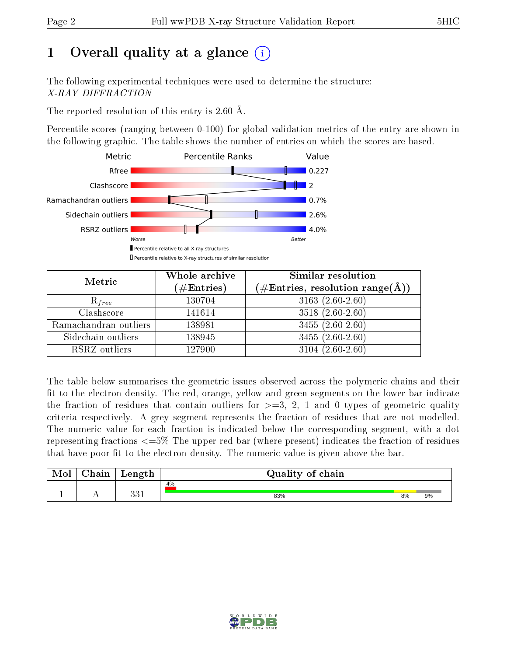# 1 [O](https://www.wwpdb.org/validation/2017/XrayValidationReportHelp#overall_quality)verall quality at a glance  $(i)$

The following experimental techniques were used to determine the structure: X-RAY DIFFRACTION

The reported resolution of this entry is 2.60 Å.

Percentile scores (ranging between 0-100) for global validation metrics of the entry are shown in the following graphic. The table shows the number of entries on which the scores are based.



| Metric                | Whole archive<br>$(\#\text{Entries})$ | Similar resolution<br>$(\#\text{Entries},\,\text{resolution}\,\,\text{range}(\textup{\AA}))$ |
|-----------------------|---------------------------------------|----------------------------------------------------------------------------------------------|
| $R_{free}$            | 130704                                | $3163(2.60-2.60)$                                                                            |
| Clashscore            | 141614                                | $3518(2.60-2.60)$                                                                            |
| Ramachandran outliers | 138981                                | $3455(2.60-2.60)$                                                                            |
| Sidechain outliers    | 138945                                | $3455(2.60-2.60)$                                                                            |
| RSRZ outliers         | 127900                                | $3104(2.60-2.60)$                                                                            |

The table below summarises the geometric issues observed across the polymeric chains and their fit to the electron density. The red, orange, yellow and green segments on the lower bar indicate the fraction of residues that contain outliers for  $>=3, 2, 1$  and 0 types of geometric quality criteria respectively. A grey segment represents the fraction of residues that are not modelled. The numeric value for each fraction is indicated below the corresponding segment, with a dot representing fractions  $\epsilon=5\%$  The upper red bar (where present) indicates the fraction of residues that have poor fit to the electron density. The numeric value is given above the bar.

| Mol | $\cap$ hain | Length     | Quality of chain |    |    |
|-----|-------------|------------|------------------|----|----|
|     |             |            | 4%               |    |    |
|     |             | 991<br>ບບ⊥ | 83%              | 8% | 9% |

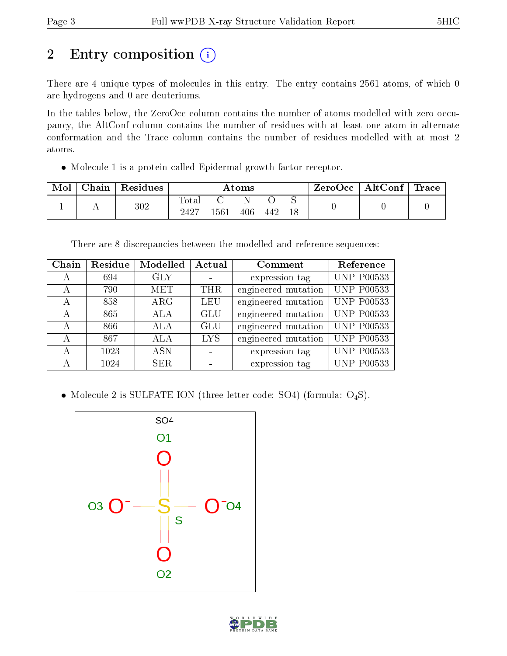# 2 Entry composition (i)

There are 4 unique types of molecules in this entry. The entry contains 2561 atoms, of which 0 are hydrogens and 0 are deuteriums.

In the tables below, the ZeroOcc column contains the number of atoms modelled with zero occupancy, the AltConf column contains the number of residues with at least one atom in alternate conformation and the Trace column contains the number of residues modelled with at most 2 atoms.

Molecule 1 is a protein called Epidermal growth factor receptor.

| Mol | Chain | Residues | Atoms         |      |     |     |    | $ZeroOcc \   \ AltConf \  $ | $\mid$ Trace $\mid$ |
|-----|-------|----------|---------------|------|-----|-----|----|-----------------------------|---------------------|
|     |       | 302      | Total<br>2427 | 1561 | 406 | 442 | 18 |                             |                     |

There are 8 discrepancies between the modelled and reference sequences:

| Chain | Residue | Modelled   | Actual     | Comment             | Reference         |
|-------|---------|------------|------------|---------------------|-------------------|
| А     | 694     | <b>GLY</b> |            | expression tag      | <b>UNP P00533</b> |
| A     | 790     | <b>MET</b> | <b>THR</b> | engineered mutation | <b>UNP P00533</b> |
| А     | 858     | $\rm{ARG}$ | <b>LEU</b> | engineered mutation | <b>UNP P00533</b> |
| А     | 865     | <b>ALA</b> | <b>GLU</b> | engineered mutation | <b>UNP P00533</b> |
| А     | 866     | <b>ALA</b> | <b>GLU</b> | engineered mutation | <b>UNP P00533</b> |
| А     | 867     | ALA        | <b>LYS</b> | engineered mutation | <b>UNP P00533</b> |
| А     | 1023    | <b>ASN</b> |            | expression tag      | <b>UNP P00533</b> |
| А     | 1024    | <b>SER</b> |            | expression tag      | <b>UNP P00533</b> |

• Molecule 2 is SULFATE ION (three-letter code: SO4) (formula: O<sub>4</sub>S).



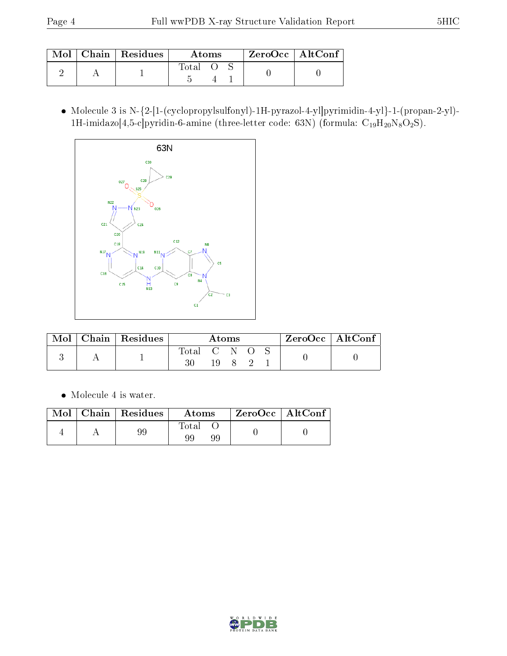|  | Mol   Chain   Residues | Atoms |  |  | ZeroOcc   AltConf |
|--|------------------------|-------|--|--|-------------------|
|  |                        | Total |  |  |                   |

 Molecule 3 is N-{2-[1-(cyclopropylsulfonyl)-1H-pyrazol-4-yl]pyrimidin-4-yl}-1-(propan-2-yl)- 1H-imidazo[4,5-c]pyridin-6-amine (three-letter code: 63N) (formula:  $C_{19}H_{20}N_8O_2S$ ).



| Mol | Chain   Residues | Atoms       |  |  |  |  | $ZeroOcc \   \ AltConf \  $ |
|-----|------------------|-------------|--|--|--|--|-----------------------------|
|     |                  | Total C N O |  |  |  |  |                             |
|     |                  |             |  |  |  |  |                             |

• Molecule 4 is water.

| Mol | $\mid$ Chain $\mid$ Residues | Atoms       | ZeroOcc   AltConf |
|-----|------------------------------|-------------|-------------------|
|     |                              | Total<br>99 |                   |

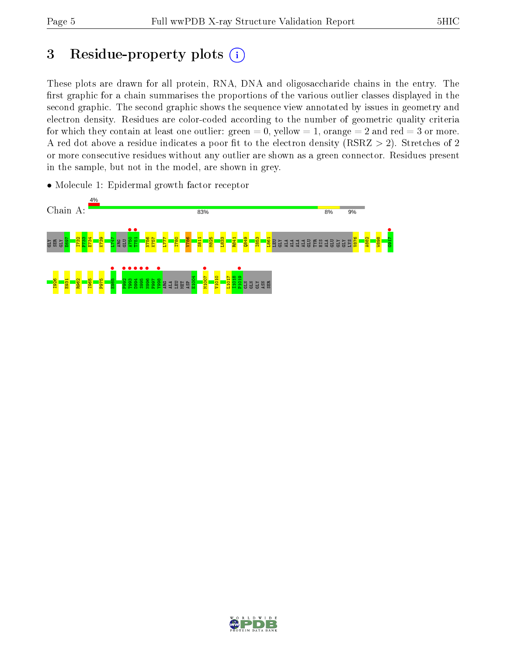# 3 Residue-property plots  $(i)$

These plots are drawn for all protein, RNA, DNA and oligosaccharide chains in the entry. The first graphic for a chain summarises the proportions of the various outlier classes displayed in the second graphic. The second graphic shows the sequence view annotated by issues in geometry and electron density. Residues are color-coded according to the number of geometric quality criteria for which they contain at least one outlier: green  $= 0$ , yellow  $= 1$ , orange  $= 2$  and red  $= 3$  or more. A red dot above a residue indicates a poor fit to the electron density ( $RSRZ > 2$ ). Stretches of 2 or more consecutive residues without any outlier are shown as a green connector. Residues present in the sample, but not in the model, are shown in grey.





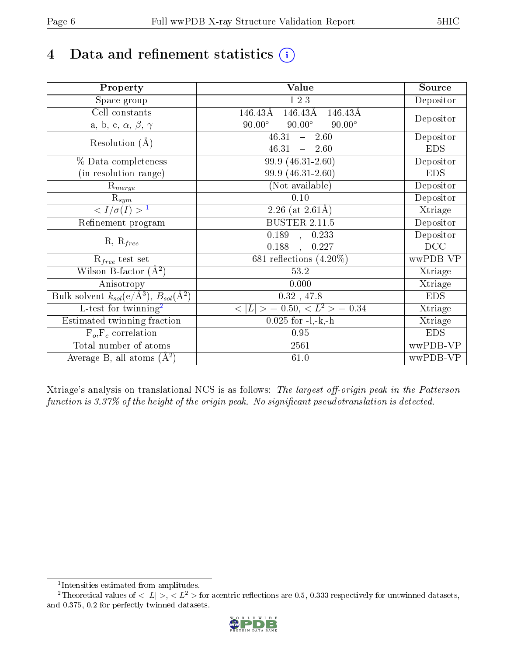# 4 Data and refinement statistics  $(i)$

| Property                                                             | Value                                               | Source     |
|----------------------------------------------------------------------|-----------------------------------------------------|------------|
| Space group                                                          | I 2 3                                               | Depositor  |
| Cell constants                                                       | $146.43\text{\AA}$<br>146.43Å<br>$146.43\text{\AA}$ |            |
| a, b, c, $\alpha$ , $\beta$ , $\gamma$                               | $90.00^\circ$<br>$90.00^\circ$<br>$90.00^\circ$     | Depositor  |
| Resolution $(A)$                                                     | 46.31<br>$-2.60$                                    | Depositor  |
|                                                                      | 46.31<br>$-2.60$                                    | <b>EDS</b> |
| % Data completeness                                                  | 99.9 (46.31-2.60)                                   | Depositor  |
| (in resolution range)                                                | 99.9 (46.31-2.60)                                   | <b>EDS</b> |
| $R_{merge}$                                                          | (Not available)                                     | Depositor  |
| $\mathrm{R}_{sym}$                                                   | 0.10                                                | Depositor  |
| $\sqrt{I/\sigma}(I) > 1$                                             | 2.26 (at $2.61\text{\AA}$ )                         | Xtriage    |
| Refinement program                                                   | <b>BUSTER 2.11.5</b>                                | Depositor  |
| $R, R_{free}$                                                        | $\overline{0.189}$ ,<br>0.233                       | Depositor  |
|                                                                      | 0.188<br>0.227                                      | DCC        |
| $R_{free}$ test set                                                  | 681 reflections $(4.20\%)$                          | wwPDB-VP   |
| Wilson B-factor $(A^2)$                                              | 53.2                                                | Xtriage    |
| Anisotropy                                                           | 0.000                                               | Xtriage    |
| Bulk solvent $k_{sol}(e/\mathring{A}^3)$ , $B_{sol}(\mathring{A}^2)$ | $0.32$ , 47.8                                       | <b>EDS</b> |
| L-test for twinning <sup>2</sup>                                     | $< L >$ = 0.50, $< L2 >$ = 0.34                     | Xtriage    |
| Estimated twinning fraction                                          | $0.025$ for $-l,-k,-h$                              | Xtriage    |
| $F_o, F_c$ correlation                                               | 0.95                                                | <b>EDS</b> |
| Total number of atoms                                                | 2561                                                | wwPDB-VP   |
| Average B, all atoms $(A^2)$                                         | 61.0                                                | wwPDB-VP   |

Xtriage's analysis on translational NCS is as follows: The largest off-origin peak in the Patterson function is  $3.37\%$  of the height of the origin peak. No significant pseudotranslation is detected.

<sup>&</sup>lt;sup>2</sup>Theoretical values of  $\langle |L| \rangle$ ,  $\langle L^2 \rangle$  for acentric reflections are 0.5, 0.333 respectively for untwinned datasets, and 0.375, 0.2 for perfectly twinned datasets.



<span id="page-5-1"></span><span id="page-5-0"></span><sup>1</sup> Intensities estimated from amplitudes.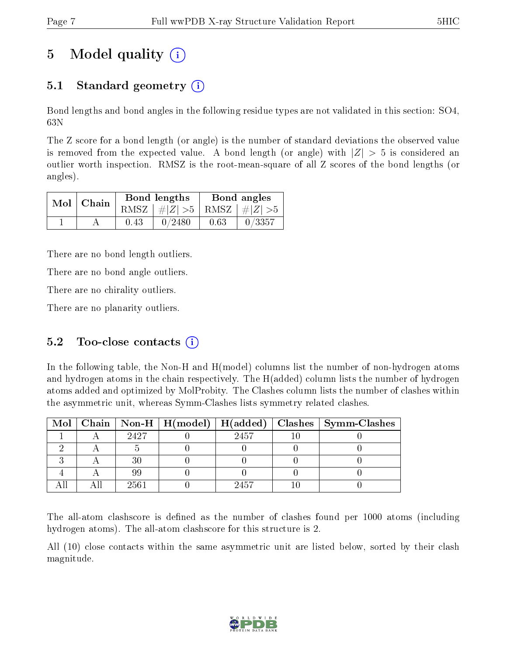## 5 Model quality  $(i)$

## 5.1 Standard geometry  $(i)$

Bond lengths and bond angles in the following residue types are not validated in this section: SO4, 63N

The Z score for a bond length (or angle) is the number of standard deviations the observed value is removed from the expected value. A bond length (or angle) with  $|Z| > 5$  is considered an outlier worth inspection. RMSZ is the root-mean-square of all Z scores of the bond lengths (or angles).

| $Mol$   Chain |      | Bond lengths                    | Bond angles |           |  |
|---------------|------|---------------------------------|-------------|-----------|--|
|               |      | RMSZ $ #Z  > 5$ RMSZ $ #Z  > 5$ |             |           |  |
|               | 0.43 | 0/2480                          | 0.63        | $-0/3357$ |  |

There are no bond length outliers.

There are no bond angle outliers.

There are no chirality outliers.

There are no planarity outliers.

## 5.2 Too-close contacts  $(i)$

In the following table, the Non-H and H(model) columns list the number of non-hydrogen atoms and hydrogen atoms in the chain respectively. The H(added) column lists the number of hydrogen atoms added and optimized by MolProbity. The Clashes column lists the number of clashes within the asymmetric unit, whereas Symm-Clashes lists symmetry related clashes.

|  |      |      | Mol   Chain   Non-H   H(model)   H(added)   Clashes   Symm-Clashes |
|--|------|------|--------------------------------------------------------------------|
|  | 2427 | 2457 |                                                                    |
|  |      |      |                                                                    |
|  |      |      |                                                                    |
|  |      |      |                                                                    |
|  | 2561 | 2457 |                                                                    |

The all-atom clashscore is defined as the number of clashes found per 1000 atoms (including hydrogen atoms). The all-atom clashscore for this structure is 2.

All (10) close contacts within the same asymmetric unit are listed below, sorted by their clash magnitude.

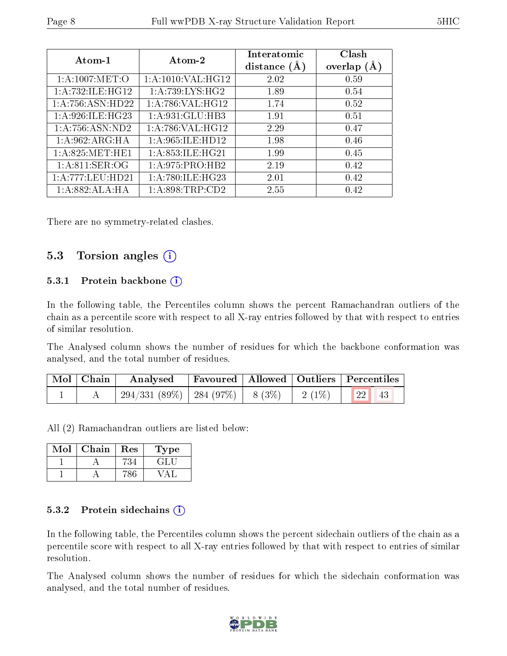| Atom-1              | Atom-2              | Interatomic<br>distance $(A)$ | Clash<br>overlap $(A)$ |
|---------------------|---------------------|-------------------------------|------------------------|
| 1: A:1007: MET:O    | 1:A:1010:VAL:HG12   | 2.02                          | 0.59                   |
| 1: A:732: ILE: HG12 | 1: A:739: LYS: HG2  | 1.89                          | 0.54                   |
| 1:A:756:ASN:HD22    | 1: A:786: VAL:HG12  | 1.74                          | 0.52                   |
| 1: A:926: ILE: HG23 | 1:A:931:GLU:HB3     | 1.91                          | 0.51                   |
| 1:A:756:ASN:ND2     | 1: A:786: VAL:HG12  | 2.29                          | 0.47                   |
| 1:A:962:ARG:HA      | 1: A:965: ILE: HD12 | 1.98                          | 0.46                   |
| 1: A:825: MET:HE1   | 1: A:853: ILE: HG21 | 1.99                          | 0.45                   |
| 1: A:811: SER:OG    | 1: A:975: PRO:HB2   | 2.19                          | 0.42                   |
| 1:A:777:LEU:HD21    | 1:A:780:ILE:HG23    | 2.01                          | 0.42                   |
| 1:A:882:ALA:HA      | 1: A:898:TRP:CD2    | 2.55                          | 0.42                   |

There are no symmetry-related clashes.

### 5.3 Torsion angles  $(i)$

#### 5.3.1 Protein backbone  $(i)$

In the following table, the Percentiles column shows the percent Ramachandran outliers of the chain as a percentile score with respect to all X-ray entries followed by that with respect to entries of similar resolution.

The Analysed column shows the number of residues for which the backbone conformation was analysed, and the total number of residues.

| $\mid$ Mol $\mid$ Chain $\mid$ | Analysed   Favoured   Allowed   Outliers   Percentiles  |  |             |
|--------------------------------|---------------------------------------------------------|--|-------------|
|                                | $\mid$ 294/331 (89%)   284 (97%)   8 (3%)   2 (1%)   22 |  | $\sqrt{43}$ |

All (2) Ramachandran outliers are listed below:

| Mol | Chain | Res | Type |
|-----|-------|-----|------|
|     |       |     |      |
|     |       |     |      |

#### 5.3.2 Protein sidechains  $(i)$

In the following table, the Percentiles column shows the percent sidechain outliers of the chain as a percentile score with respect to all X-ray entries followed by that with respect to entries of similar resolution.

The Analysed column shows the number of residues for which the sidechain conformation was analysed, and the total number of residues.

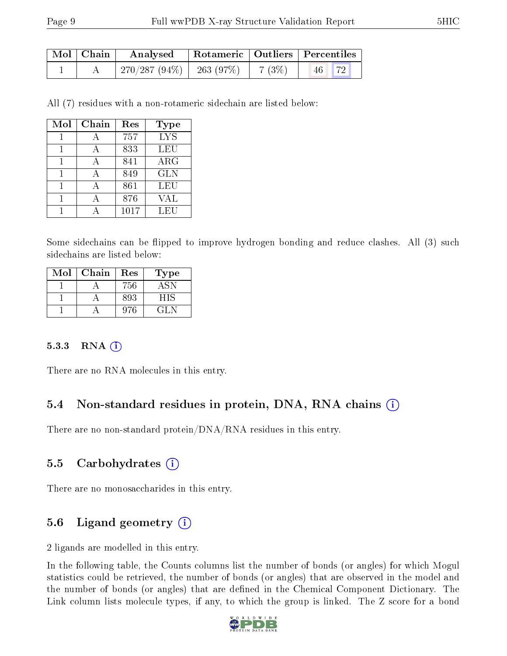| $\mid$ Mol $\mid$ Chain $\mid$ | Rotameric   Outliers   Percentiles  <br>Analysed |  |       |    |                  |
|--------------------------------|--------------------------------------------------|--|-------|----|------------------|
|                                | $\mid$ 270/287 (94%) $\mid$ 263 (97%)            |  | 7(3%) | 46 | $\vert 72 \vert$ |

All (7) residues with a non-rotameric sidechain are listed below:

| Mol | Chain | Res  | <b>Type</b> |
|-----|-------|------|-------------|
|     |       | 757  | <b>LYS</b>  |
|     |       | 833  | LEU         |
|     |       | 841  | $\rm{ARG}$  |
|     |       | 849  | <b>GLN</b>  |
|     |       | 861  | LEU         |
|     |       | 876  | VAL         |
|     |       | 1017 | LEU         |

Some sidechains can be flipped to improve hydrogen bonding and reduce clashes. All (3) such sidechains are listed below:

| Mol | Chain | Res | Type   |
|-----|-------|-----|--------|
|     |       | 756 | 4.5N   |
|     |       | 893 | HIS    |
|     |       | 976 | 14 L N |

#### 5.3.3 RNA (i)

There are no RNA molecules in this entry.

### 5.4 Non-standard residues in protein, DNA, RNA chains (i)

There are no non-standard protein/DNA/RNA residues in this entry.

#### 5.5 Carbohydrates  $(i)$

There are no monosaccharides in this entry.

## 5.6 Ligand geometry  $(i)$

2 ligands are modelled in this entry.

In the following table, the Counts columns list the number of bonds (or angles) for which Mogul statistics could be retrieved, the number of bonds (or angles) that are observed in the model and the number of bonds (or angles) that are defined in the Chemical Component Dictionary. The Link column lists molecule types, if any, to which the group is linked. The Z score for a bond

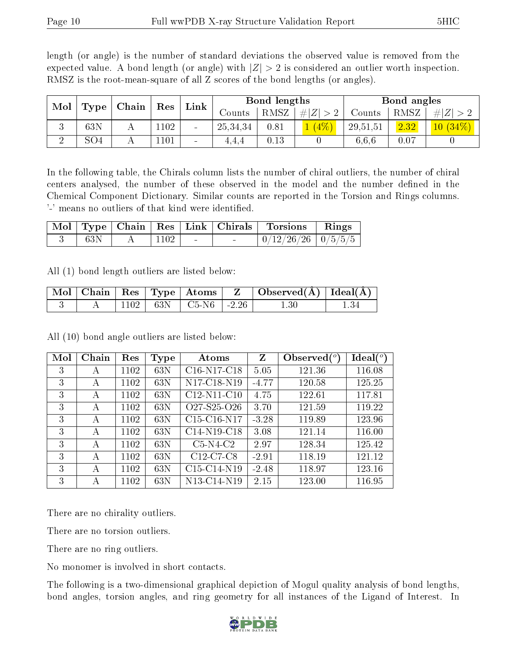| RMSZ is the root-mean-square of all Z scores of the bond lengths (or angles). |                                                                   |  |  |  |              |                                                                   |  |             |  |  |  |  |
|-------------------------------------------------------------------------------|-------------------------------------------------------------------|--|--|--|--------------|-------------------------------------------------------------------|--|-------------|--|--|--|--|
|                                                                               | $\mid$ Mol $\mid$ Type $\mid$ Chain $\mid$ Res $\mid$ Link $\mid$ |  |  |  | Bond lengths | Counts   RMSZ $\mid \#  Z  > 2$   Counts   RMSZ $\mid \#  Z  > 2$ |  | Bond angles |  |  |  |  |

3 | 63N | A | $1102$  | - | $25,34,34$  |  $0.81$  |  $1 \ (4\%)$  |  $29,51,51$  |  $2.32$  |  $10 \ (34\%)$  $2 \parallel SO4 \parallel A \parallel 1101 \parallel - \parallel 4,4,4 \parallel 0.13 \parallel 0 \parallel 6,6,6 \parallel 0.07 \parallel 0$ 

length (or angle) is the number of standard deviations the observed value is removed from the expected value. A bond length (or angle) with  $|Z| > 2$  is considered an outlier worth inspection.

In the following table, the Chirals column lists the number of chiral outliers, the number of chiral centers analysed, the number of these observed in the model and the number defined in the Chemical Component Dictionary. Similar counts are reported in the Torsion and Rings columns. '-' means no outliers of that kind were identified.

|     |      | $\sqrt{\text{Mol}\mid\text{Type}}\mid\text{Chain}\mid\text{Res}\mid\text{Link}\mid\text{Chirals}\mid\text{$ | Torsions                 | $\mathbf{Rings}$ |
|-----|------|-------------------------------------------------------------------------------------------------------------|--------------------------|------------------|
| 63N | 1102 |                                                                                                             | $0/12/26/26$   $0/5/5/5$ |                  |

All (1) bond length outliers are listed below:

|  |  | $\boxed{\text{Mol}}$ $\boxed{\text{Chain}}$   Res   Type   Atoms | $\mid$ Observed( $\AA$ ) $\mid$ Ideal( $\AA$ ) $\mid$ |  |
|--|--|------------------------------------------------------------------|-------------------------------------------------------|--|
|  |  | $1102$   63N   C5-N6   -2.26                                     | 1.30                                                  |  |

| Mol | Chain | Res  | <b>Type</b> | Atoms                                             | Z       | Observed $(°)$ | Ideal(°) |
|-----|-------|------|-------------|---------------------------------------------------|---------|----------------|----------|
| 3   | А     | 1102 | 63N         | $C16-N17-C18$                                     | 5.05    | 121.36         | 116.08   |
| 3   | А     | 1102 | 63N         | N <sub>17</sub> -C <sub>18</sub> -N <sub>19</sub> | $-4.77$ | 120.58         | 125.25   |
| 3   | А     | 1102 | 63N         | $C12-N11-C10$                                     | 4.75    | 122.61         | 117.81   |
| 3   | А     | 1102 | 63N         | O <sub>27</sub> -S <sub>25</sub> -O <sub>26</sub> | 3.70    | 121.59         | 119.22   |
| 3   | А     | 1102 | 63N         | $C15-C16-N17$                                     | $-3.28$ | 119.89         | 123.96   |
| 3   | А     | 1102 | 63N         | $C14-N19-C18$                                     | 3.08    | 121.14         | 116.00   |
| 3   | А     | 1102 | 63N         | $C5-N4-C2$                                        | 2.97    | 128.34         | 125.42   |
| 3   | А     | 1102 | 63N         | $C12-C7-C8$                                       | $-2.91$ | 118.19         | 121.12   |
| 3   | А     | 1102 | 63N         | $C15-C14-N19$                                     | $-2.48$ | 118.97         | 123.16   |
| 3   | А     | 1102 | 63N         | N13-C14-N19                                       | 2.15    | 123.00         | 116.95   |

All (10) bond angle outliers are listed below:

There are no chirality outliers.

There are no torsion outliers.

There are no ring outliers.

No monomer is involved in short contacts.

The following is a two-dimensional graphical depiction of Mogul quality analysis of bond lengths, bond angles, torsion angles, and ring geometry for all instances of the Ligand of Interest. In

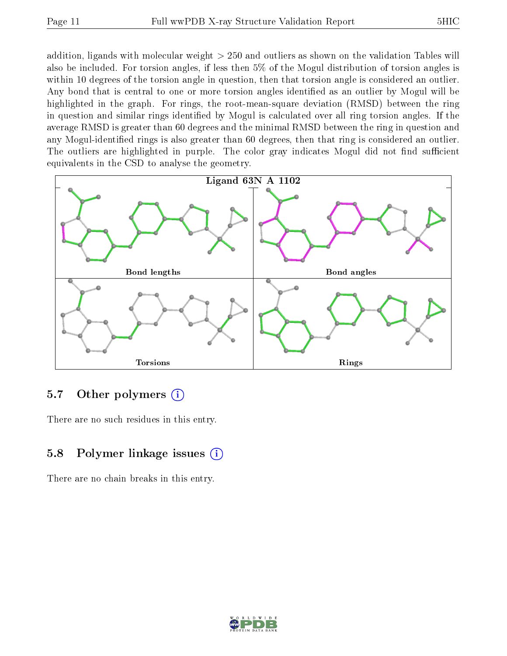addition, ligands with molecular weight > 250 and outliers as shown on the validation Tables will also be included. For torsion angles, if less then 5% of the Mogul distribution of torsion angles is within 10 degrees of the torsion angle in question, then that torsion angle is considered an outlier. Any bond that is central to one or more torsion angles identified as an outlier by Mogul will be highlighted in the graph. For rings, the root-mean-square deviation (RMSD) between the ring in question and similar rings identified by Mogul is calculated over all ring torsion angles. If the average RMSD is greater than 60 degrees and the minimal RMSD between the ring in question and any Mogul-identied rings is also greater than 60 degrees, then that ring is considered an outlier. The outliers are highlighted in purple. The color gray indicates Mogul did not find sufficient equivalents in the CSD to analyse the geometry.



## 5.7 [O](https://www.wwpdb.org/validation/2017/XrayValidationReportHelp#nonstandard_residues_and_ligands)ther polymers (i)

There are no such residues in this entry.

## 5.8 Polymer linkage issues  $(i)$

There are no chain breaks in this entry.

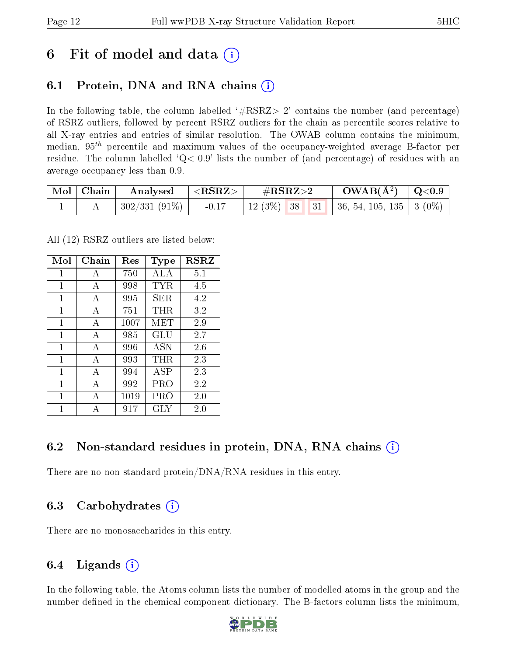## 6 Fit of model and data  $(i)$

## 6.1 Protein, DNA and RNA chains (i)

In the following table, the column labelled  $#RSRZ>2'$  contains the number (and percentage) of RSRZ outliers, followed by percent RSRZ outliers for the chain as percentile scores relative to all X-ray entries and entries of similar resolution. The OWAB column contains the minimum, median,  $95<sup>th</sup>$  percentile and maximum values of the occupancy-weighted average B-factor per residue. The column labelled  $Q< 0.9$  lists the number of (and percentage) of residues with an average occupancy less than 0.9.

| $\mid$ Mol $\mid$ Chain | Analysed                   | $\pm$ <rsrz></rsrz> | $\rm \#RSRZ{>}2$                              | $\text{OWAB}(\AA^2)$ $\mid$ Q<0.9 $\mid$ |  |
|-------------------------|----------------------------|---------------------|-----------------------------------------------|------------------------------------------|--|
|                         | $^+$ 302/331 (91%) $\vert$ | $-0.17$             | 12 (3%)   38   31   36, 54, 105, 135   3 (0%) |                                          |  |

All (12) RSRZ outliers are listed below:

| Mol | Chain        | Res  | Type       | $_{\rm RSRZ}$ |  |
|-----|--------------|------|------------|---------------|--|
| 1   | A            | 750  | ALA.       | 5.1           |  |
| 1   | A            | 998  | TYR        | 4.5           |  |
| 1   | A            | 995  | SER.       | 4.2           |  |
| 1   | А            | 751  | $\rm THR$  | 3.2           |  |
| 1   | A            | 1007 | MET        | 2.9           |  |
| 1   | A            | 985  | GLU        | 2.7           |  |
| 1   | $\mathbf{A}$ | 996  | <b>ASN</b> | 2.6           |  |
| 1   | A            | 993  | $\rm THR$  | 2.3           |  |
| 1   | А            | 994  | ASP        | 2.3           |  |
| 1   | А            | 992  | PRO        | 2.2           |  |
| 1   | А            | 1019 | PRO        | 2.0           |  |
| 1   |              | 917  | GLY        | 2.0           |  |

## 6.2 Non-standard residues in protein, DNA, RNA chains  $(i)$

There are no non-standard protein/DNA/RNA residues in this entry.

## 6.3 Carbohydrates (i)

There are no monosaccharides in this entry.

## 6.4 Ligands  $(i)$

In the following table, the Atoms column lists the number of modelled atoms in the group and the number defined in the chemical component dictionary. The B-factors column lists the minimum,